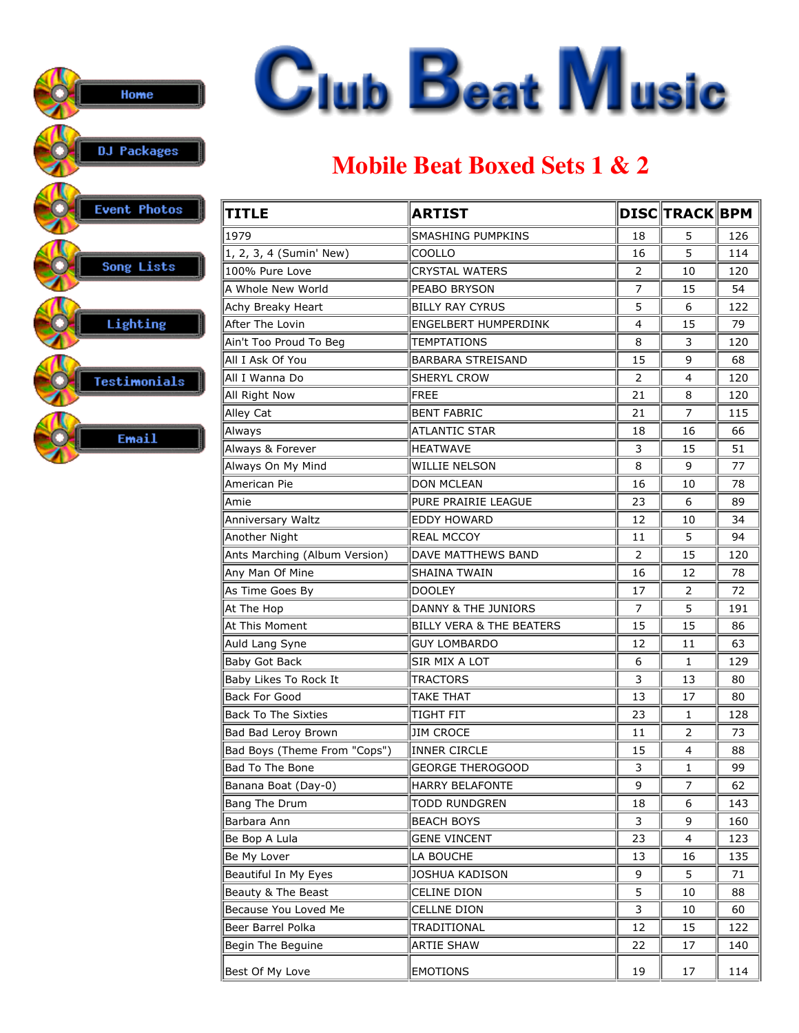

## **Mobile Beat Boxed Sets 1 & 2**

| <b>TITLE</b>                  | <b>ARTIST</b>                       |                | <b>DISC TRACK BPM</b> |     |
|-------------------------------|-------------------------------------|----------------|-----------------------|-----|
| 1979                          | <b>SMASHING PUMPKINS</b>            | 18             | 5                     | 126 |
| 1, 2, 3, 4 (Sumin' New)       | COOLLO                              | 16             | 5                     | 114 |
| 100% Pure Love                | <b>CRYSTAL WATERS</b>               | 2              | 10                    | 120 |
| A Whole New World             | <b>PEABO BRYSON</b>                 | 7              | 15                    | 54  |
| Achy Breaky Heart             | <b>BILLY RAY CYRUS</b>              | 5              | 6                     | 122 |
| After The Lovin               | ENGELBERT HUMPERDINK                | 4              | 15                    | 79  |
| Ain't Too Proud To Beg        | <b>TEMPTATIONS</b>                  | 8              | 3                     | 120 |
| All I Ask Of You              | <b>BARBARA STREISAND</b>            | 15             | 9                     | 68  |
| All I Wanna Do                | <b>SHERYL CROW</b>                  | $\overline{2}$ | 4                     | 120 |
| All Right Now                 | <b>FREE</b>                         | 21             | 8                     | 120 |
| Alley Cat                     | <b>BENT FABRIC</b>                  | 21             | 7                     | 115 |
| Always                        | <b>ATLANTIC STAR</b>                | 18             | 16                    | 66  |
| Always & Forever              | <b>HEATWAVE</b>                     | 3              | 15                    | 51  |
| Always On My Mind             | <b>WILLIE NELSON</b>                | 8              | 9                     | 77  |
| American Pie                  | <b>DON MCLEAN</b>                   | 16             | 10                    | 78  |
| Amie                          | PURE PRAIRIE LEAGUE                 | 23             | 6                     | 89  |
| Anniversary Waltz             | <b>EDDY HOWARD</b>                  | 12             | 10                    | 34  |
| Another Night                 | <b>REAL MCCOY</b>                   | 11             | 5                     | 94  |
| Ants Marching (Album Version) | <b>DAVE MATTHEWS BAND</b>           | 2              | 15                    | 120 |
| Any Man Of Mine               | SHAINA TWAIN                        | 16             | 12                    | 78  |
| As Time Goes By               | <b>DOOLEY</b>                       | 17             | 2                     | 72  |
| At The Hop                    | <b>DANNY &amp; THE JUNIORS</b>      | 7              | 5                     | 191 |
| At This Moment                | <b>BILLY VERA &amp; THE BEATERS</b> | 15             | 15                    | 86  |
| Auld Lang Syne                | <b>GUY LOMBARDO</b>                 | 12             | 11                    | 63  |
| Baby Got Back                 | SIR MIX A LOT                       | 6              | 1                     | 129 |
| Baby Likes To Rock It         | <b>TRACTORS</b>                     | 3              | 13                    | 80  |
| <b>Back For Good</b>          | <b>TAKE THAT</b>                    | 13             | 17                    | 80  |
| <b>Back To The Sixties</b>    | TIGHT FIT                           | 23             | 1                     | 128 |
| Bad Bad Leroy Brown           | <b>JIM CROCE</b>                    | 11             | 2                     | 73  |
| Bad Boys (Theme From "Cops")  | Inner circle                        | 15             | 4                     | 88  |
| Bad To The Bone               | <b>GEORGE THEROGOOD</b>             | 3              | 1                     | 99  |
| Banana Boat (Day-0)           | <b>HARRY BELAFONTE</b>              | 9              | 7                     | 62  |
| Bang The Drum                 | TODD RUNDGREN                       | 18             | 6                     | 143 |
| Barbara Ann                   | <b>BEACH BOYS</b>                   | 3              | 9                     | 160 |
| Be Bop A Lula                 | <b>GENE VINCENT</b>                 | 23             | 4                     | 123 |
| Be My Lover                   | LA BOUCHE                           | 13             | 16                    | 135 |
| Beautiful In My Eyes          | JOSHUA KADISON                      | 9              | 5                     | 71  |
| Beauty & The Beast            | <b>CELINE DION</b>                  | 5              | 10                    | 88  |
| Because You Loved Me          | <b>CELLNE DION</b>                  | 3              | 10                    | 60  |
| Beer Barrel Polka             | TRADITIONAL                         | 12             | 15                    | 122 |
| Begin The Beguine             | <b>ARTIE SHAW</b>                   | 22             | 17                    | 140 |
| Best Of My Love               | <b>EMOTIONS</b>                     | 19             | 17                    | 114 |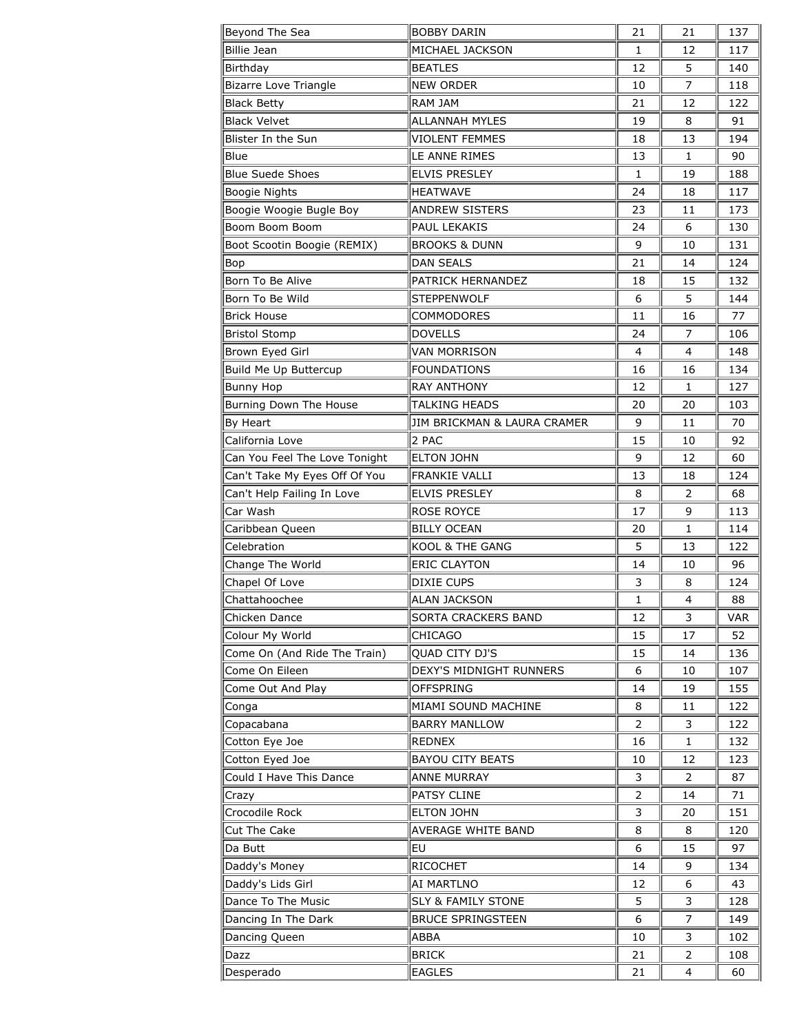| Beyond The Sea                | <b>BOBBY DARIN</b>            | 21 | 21 | 137 |
|-------------------------------|-------------------------------|----|----|-----|
| <b>Billie Jean</b>            | MICHAEL JACKSON               | 1  | 12 | 117 |
| Birthday                      | <b>BEATLES</b>                | 12 | 5  | 140 |
| <b>Bizarre Love Triangle</b>  | <b>NEW ORDER</b>              | 10 | 7  | 118 |
| <b>Black Betty</b>            | <b>RAM JAM</b>                | 21 | 12 | 122 |
| <b>Black Velvet</b>           | <b>ALLANNAH MYLES</b>         | 19 | 8  | 91  |
| Blister In the Sun            | <b>VIOLENT FEMMES</b>         | 18 | 13 | 194 |
| Blue                          | LE ANNE RIMES                 | 13 | 1  | 90  |
| <b>Blue Suede Shoes</b>       | <b>ELVIS PRESLEY</b>          | 1  | 19 | 188 |
| Boogie Nights                 | <b>HEATWAVE</b>               | 24 | 18 | 117 |
| Boogie Woogie Bugle Boy       | <b>ANDREW SISTERS</b>         | 23 | 11 | 173 |
| Boom Boom Boom                | PAUL LEKAKIS                  | 24 | 6  | 130 |
| Boot Scootin Boogie (REMIX)   | <b>BROOKS &amp; DUNN</b>      | 9  | 10 | 131 |
| Bop                           | <b>DAN SEALS</b>              | 21 | 14 | 124 |
| Born To Be Alive              | PATRICK HERNANDEZ             | 18 | 15 | 132 |
| Born To Be Wild               | <b>STEPPENWOLF</b>            | 6  | 5  | 144 |
| <b>Brick House</b>            | <b>COMMODORES</b>             | 11 | 16 | 77  |
| <b>Bristol Stomp</b>          | <b>DOVELLS</b>                | 24 | 7  | 106 |
| Brown Eyed Girl               | <b>VAN MORRISON</b>           | 4  | 4  | 148 |
| Build Me Up Buttercup         | <b>FOUNDATIONS</b>            | 16 | 16 | 134 |
| <b>Bunny Hop</b>              | <b>RAY ANTHONY</b>            | 12 | 1  | 127 |
| Burning Down The House        | TALKING HEADS                 | 20 | 20 | 103 |
| By Heart                      | JIM BRICKMAN & LAURA CRAMER   | 9  | 11 | 70  |
| California Love               | 2 PAC                         | 15 | 10 | 92  |
| Can You Feel The Love Tonight | <b>ELTON JOHN</b>             | 9  | 12 | 60  |
| Can't Take My Eyes Off Of You | <b>FRANKIE VALLI</b>          | 13 | 18 | 124 |
| Can't Help Failing In Love    | <b>ELVIS PRESLEY</b>          | 8  | 2  | 68  |
| Car Wash                      | <b>ROSE ROYCE</b>             | 17 | 9  | 113 |
| Caribbean Queen               | <b>BILLY OCEAN</b>            | 20 | 1  | 114 |
| Celebration                   | KOOL & THE GANG               | 5  | 13 | 122 |
| Change The World              | <b>ERIC CLAYTON</b>           | 14 | 10 | 96  |
| Chapel Of Love                | <b>DIXIE CUPS</b>             | 3  | 8  | 124 |
| Chattahoochee                 | ALAN JACKSON                  | 1  | 4  | 88  |
| Chicken Dance                 | SORTA CRACKERS BAND           | 12 | 3  | VAR |
| Colour My World               | CHICAGO                       | 15 | 17 | 52  |
| Come On (And Ride The Train)  | QUAD CITY DJ'S                | 15 | 14 | 136 |
| Come On Eileen                | DEXY'S MIDNIGHT RUNNERS       | 6  | 10 | 107 |
| Come Out And Play             | <b>OFFSPRING</b>              | 14 | 19 | 155 |
| Conga                         | MIAMI SOUND MACHINE           | 8  | 11 | 122 |
| Copacabana                    | <b>BARRY MANLLOW</b>          | 2  | 3  | 122 |
| Cotton Eye Joe                | REDNEX                        | 16 | 1  | 132 |
| Cotton Eyed Joe               | <b>BAYOU CITY BEATS</b>       | 10 | 12 | 123 |
| Could I Have This Dance       | <b>ANNE MURRAY</b>            | 3  | 2  | 87  |
| Crazy                         | PATSY CLINE                   | 2  | 14 | 71  |
| Crocodile Rock                | <b>ELTON JOHN</b>             | 3  | 20 | 151 |
| Cut The Cake                  | <b>AVERAGE WHITE BAND</b>     | 8  | 8  | 120 |
| Da Butt                       | EU                            | 6  | 15 | 97  |
| Daddy's Money                 | <b>RICOCHET</b>               | 14 | 9  | 134 |
| Daddy's Lids Girl             | AI MARTLNO                    | 12 | 6  | 43  |
| Dance To The Music            | <b>SLY &amp; FAMILY STONE</b> | 5  | 3  | 128 |
| Dancing In The Dark           | <b>BRUCE SPRINGSTEEN</b>      | 6  | 7  | 149 |
| Dancing Queen                 | ABBA                          | 10 | 3  | 102 |
| Dazz                          | <b>BRICK</b>                  | 21 | 2  | 108 |
| Desperado                     | <b>EAGLES</b>                 | 21 | 4  | 60  |
|                               |                               |    |    |     |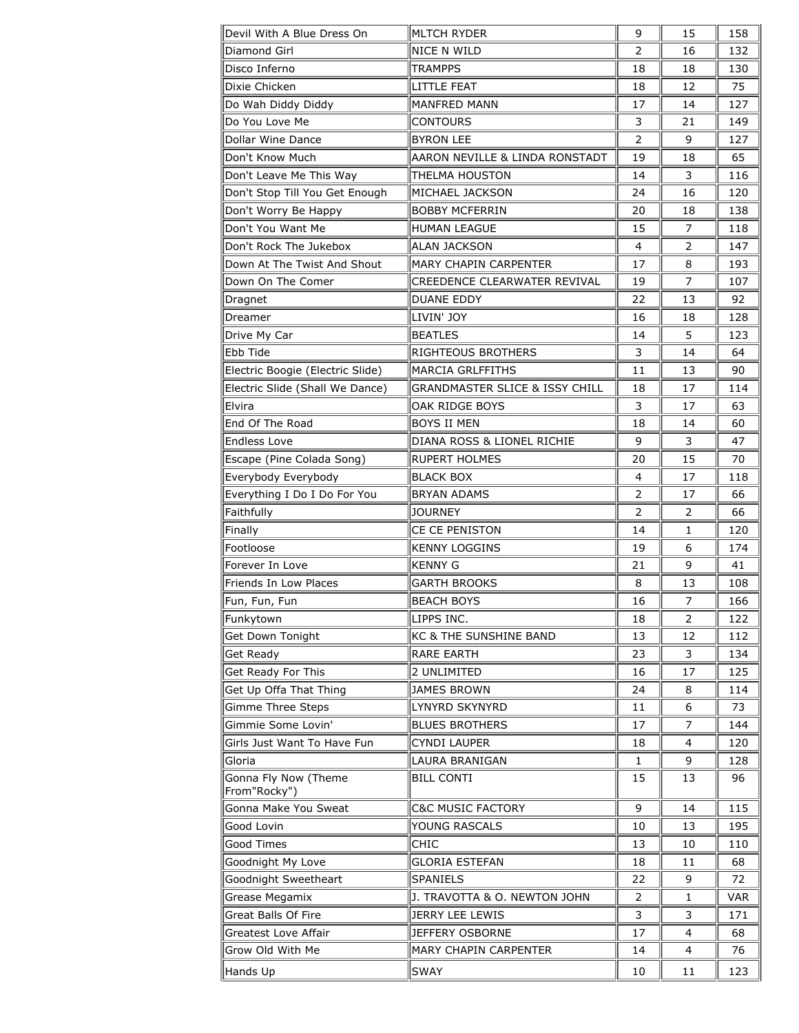| Devil With A Blue Dress On                        | MLTCH RYDER                                  | 9              | 15 | 158        |
|---------------------------------------------------|----------------------------------------------|----------------|----|------------|
| Diamond Girl                                      | NICE N WILD                                  | 2              | 16 | 132        |
| Disco Inferno                                     | TRAMPPS                                      | 18             | 18 | 130        |
| Dixie Chicken                                     | <b>LITTLE FEAT</b>                           | 18             | 12 | 75         |
| Do Wah Diddy Diddy                                | MANFRED MANN                                 | 17             | 14 | 127        |
| Do You Love Me                                    | <b>CONTOURS</b>                              | 3              | 21 | 149        |
| Dollar Wine Dance                                 | <b>BYRON LEE</b>                             | 2              | 9  | 127        |
| Don't Know Much                                   | AARON NEVILLE & LINDA RONSTADT               | 19             | 18 | 65         |
| Don't Leave Me This Way                           | THELMA HOUSTON                               | 14             | 3  | 116        |
| Don't Stop Till You Get Enough                    | MICHAEL JACKSON                              | 24             | 16 | 120        |
| Don't Worry Be Happy                              | <b>BOBBY MCFERRIN</b>                        | 20             | 18 | 138        |
| Don't You Want Me                                 | <b>HUMAN LEAGUE</b>                          | 15             | 7  | 118        |
| Don't Rock The Jukebox                            | <b>ALAN JACKSON</b>                          | 4              | 2  | 147        |
| Down At The Twist And Shout                       | <b>MARY CHAPIN CARPENTER</b>                 | 17             | 8  | 193        |
| Down On The Comer                                 | CREEDENCE CLEARWATER REVIVAL                 | 19             | 7  | 107        |
| Dragnet                                           | <b>DUANE EDDY</b>                            | 22             | 13 | 92         |
| Dreamer                                           | LIVIN' JOY                                   | 16             | 18 | 128        |
| Drive My Car                                      | <b>BEATLES</b>                               | 14             | 5  | 123        |
| Ebb Tide                                          | <b>RIGHTEOUS BROTHERS</b>                    | 3              | 14 | 64         |
| Electric Boogie (Electric Slide)                  | <b>MARCIA GRLFFITHS</b>                      | 11             | 13 | 90         |
| Electric Slide (Shall We Dance)                   | <b>GRANDMASTER SLICE &amp; ISSY CHILL</b>    | 18             | 17 | 114        |
| Elvira                                            | OAK RIDGE BOYS                               | 3              | 17 | 63         |
| End Of The Road                                   | <b>BOYS II MEN</b>                           | 18             | 14 | 60         |
| <b>Endless Love</b>                               | DIANA ROSS & LIONEL RICHIE                   | 9              | 3  | 47         |
| Escape (Pine Colada Song)                         | <b>RUPERT HOLMES</b>                         | 20             | 15 | 70         |
| Everybody Everybody                               | <b>BLACK BOX</b>                             | 4              | 17 | 118        |
| Everything I Do I Do For You                      | <b>BRYAN ADAMS</b>                           | $\overline{2}$ | 17 | 66         |
| Faithfully                                        | <b>JOURNEY</b>                               | 2              | 2  | 66         |
| Finally                                           | CE CE PENISTON                               | 14             | 1  | 120        |
|                                                   |                                              |                |    |            |
| Footloose                                         | <b>KENNY LOGGINS</b>                         | 19             | 6  | 174        |
| Forever In Love                                   | <b>KENNY G</b>                               | 21             | 9  | 41         |
| Friends In Low Places                             |                                              | 8              | 13 | 108        |
|                                                   | GARTH BROOKS<br><b>BEACH BOYS</b>            | 16             | 7  | 166        |
| Fun, Fun, Fun                                     |                                              | 18             | 2  | 122        |
| Funkytown                                         | LIPPS INC.                                   | 13             | 12 | 112        |
| Get Down Tonight                                  | KC & THE SUNSHINE BAND<br><b>RARE EARTH</b>  | 23             | 3  | 134        |
| Get Ready                                         | 2 UNLIMITED                                  |                | 17 | 125        |
| Get Ready For This                                |                                              | 16<br>24       | 8  | 114        |
| Get Up Offa That Thing                            | JAMES BROWN                                  | 11             | 6  | 73         |
| Gimme Three Steps                                 | LYNYRD SKYNYRD                               | 17             | 7  | 144        |
| Gimmie Some Lovin'<br>Girls Just Want To Have Fun | <b>BLUES BROTHERS</b><br><b>CYNDI LAUPER</b> | 18             | 4  | 120        |
| Gloria                                            |                                              | 1              | 9  | 128        |
|                                                   | LAURA BRANIGAN<br><b>BILL CONTI</b>          | 15             | 13 | 96         |
| Gonna Fly Now (Theme<br>From"Rocky")              |                                              |                |    |            |
| Gonna Make You Sweat                              | <b>C&amp;C MUSIC FACTORY</b>                 | 9              | 14 | 115        |
| Good Lovin                                        | YOUNG RASCALS                                | 10             | 13 | 195        |
| Good Times                                        | <b>CHIC</b>                                  | 13             | 10 | 110        |
| Goodnight My Love                                 | <b>GLORIA ESTEFAN</b>                        | 18             | 11 | 68         |
| Goodnight Sweetheart                              | SPANIELS                                     | 22             | 9  | 72         |
| Grease Megamix                                    | J. TRAVOTTA & O. NEWTON JOHN                 | 2              | 1  | <b>VAR</b> |
| Great Balls Of Fire                               | JERRY LEE LEWIS                              | 3              | 3  | 171        |
| Greatest Love Affair                              | JEFFERY OSBORNE                              | 17             | 4  | 68         |
| Grow Old With Me                                  | <b>MARY CHAPIN CARPENTER</b>                 | 14             | 4  | 76         |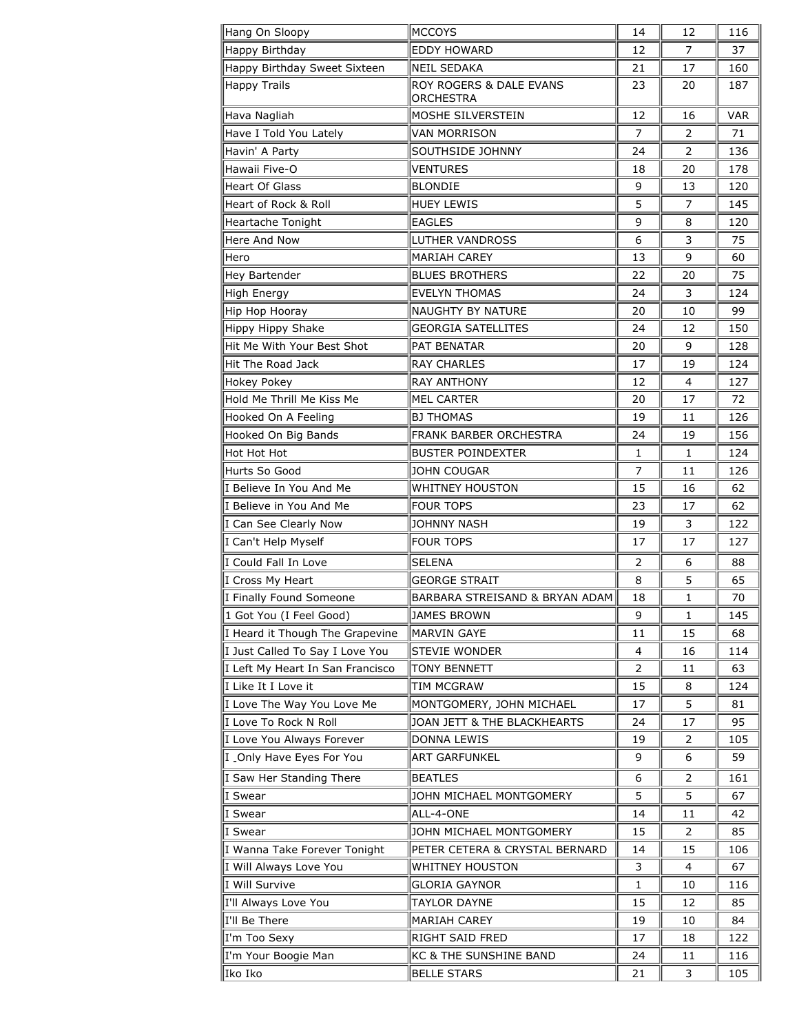| Hang On Sloopy                   | IMCCOYS                              | 14             | 12             | 116        |
|----------------------------------|--------------------------------------|----------------|----------------|------------|
| Happy Birthday                   | <b>EDDY HOWARD</b>                   | 12             | 7              | 37         |
| Happy Birthday Sweet Sixteen     | <b>NEIL SEDAKA</b>                   | 21             | 17             | 160        |
| <b>Happy Trails</b>              | ROY ROGERS & DALE EVANS<br>ORCHESTRA | 23             | 20             | 187        |
| Hava Nagliah                     | MOSHE SILVERSTEIN                    | 12             | 16             | <b>VAR</b> |
| Have I Told You Lately           | <b>VAN MORRISON</b>                  | $\overline{7}$ | $\overline{2}$ | 71         |
| Havin' A Party                   | <b>SOUTHSIDE JOHNNY</b>              | 24             | 2              | 136        |
| Hawaii Five-O                    | VENTURES                             | 18             | 20             | 178        |
| <b>Heart Of Glass</b>            | <b>BLONDIE</b>                       | 9              | 13             | 120        |
| Heart of Rock & Roll             | <b>HUEY LEWIS</b>                    | 5              | $\overline{7}$ | 145        |
| Heartache Tonight                | <b>EAGLES</b>                        | 9              | 8              | 120        |
| Here And Now                     | <b>LUTHER VANDROSS</b>               | 6              | 3              | 75         |
| Hero                             | <b>MARIAH CAREY</b>                  | 13             | 9              | 60         |
| Hey Bartender                    | <b>BLUES BROTHERS</b>                | 22             | 20             | 75         |
| High Energy                      | <b>EVELYN THOMAS</b>                 | 24             | 3              | 124        |
| Hip Hop Hooray                   | NAUGHTY BY NATURE                    | 20             | 10             | 99         |
| Hippy Hippy Shake                | <b>GEORGIA SATELLITES</b>            | 24             | 12             | 150        |
| Hit Me With Your Best Shot       | <b>PAT BENATAR</b>                   | 20             | 9              | 128        |
| Hit The Road Jack                | <b>RAY CHARLES</b>                   | 17             | 19             | 124        |
| Hokey Pokey                      | <b>RAY ANTHONY</b>                   | 12             | 4              | 127        |
| Hold Me Thrill Me Kiss Me        | <b>MEL CARTER</b>                    | 20             | 17             | 72         |
| Hooked On A Feeling              | <b>BJ THOMAS</b>                     | 19             | 11             | 126        |
| Hooked On Big Bands              | FRANK BARBER ORCHESTRA               | 24             | 19             | 156        |
| Hot Hot Hot                      | <b>BUSTER POINDEXTER</b>             | 1              | $\mathbf{1}$   | 124        |
| Hurts So Good                    | <b>JOHN COUGAR</b>                   | $\overline{7}$ | 11             | 126        |
| I Believe In You And Me          | <b>WHITNEY HOUSTON</b>               | 15             | 16             | 62         |
| I Believe in You And Me          | <b>FOUR TOPS</b>                     | 23             | 17             | 62         |
| I Can See Clearly Now            | <b>JOHNNY NASH</b>                   | 19             | 3              | 122        |
| I Can't Help Myself              | <b>FOUR TOPS</b>                     | 17             | 17             | 127        |
| I Could Fall In Love             | <b>SELENA</b>                        | 2              | 6              | 88         |
| I Cross My Heart                 | <b>GEORGE STRAIT</b>                 | 8              | 5              | 65         |
| I Finally Found Someone          | BARBARA STREISAND & BRYAN ADAM       | 18             | $\mathbf{1}$   | 70         |
| 1 Got You (I Feel Good)          | JAMES BROWN                          | 9              | 1              | 145        |
| I Heard it Though The Grapevine  | <b>MARVIN GAYE</b>                   | 11             | 15             | 68         |
| I Just Called To Say I Love You  | <b>STEVIE WONDER</b>                 | 4              | 16             | 114        |
| I Left My Heart In San Francisco | <b>TONY BENNETT</b>                  | 2              | 11             | 63         |
| I Like It I Love it              | TIM MCGRAW                           | 15             | 8              | 124        |
| I Love The Way You Love Me       | MONTGOMERY, JOHN MICHAEL             | 17             | 5.             | 81         |
| I Love To Rock N Roll            | JOAN JETT & THE BLACKHEARTS          | 24             | 17             | 95         |
| I Love You Always Forever        | DONNA LEWIS                          | 19             | 2              | 105        |
| I _Only Have Eyes For You        | <b>ART GARFUNKEL</b>                 | 9              | 6              | 59         |
| I Saw Her Standing There         | <b>BEATLES</b>                       | 6              | 2              | 161        |
| I Swear                          | JOHN MICHAEL MONTGOMERY              | 5              | 5              | 67         |
| I Swear                          | ALL-4-ONE                            | 14             | 11             | 42         |
| I Swear                          | JOHN MICHAEL MONTGOMERY              | 15             | 2              | 85         |
| I Wanna Take Forever Tonight     | PETER CETERA & CRYSTAL BERNARD       | 14             | 15             | 106        |
| I Will Always Love You           | <b>WHITNEY HOUSTON</b>               | 3              | 4              | 67         |
| I Will Survive                   | <b>GLORIA GAYNOR</b>                 | $\mathbf{1}$   | 10             | 116        |
| I'll Always Love You             | <b>TAYLOR DAYNE</b>                  | 15             | 12             | 85         |
| I'll Be There                    | MARIAH CAREY                         | 19             | 10             | 84         |
| I'm Too Sexy                     | RIGHT SAID FRED                      | 17             | 18             | 122        |
| I'm Your Boogie Man              | KC & THE SUNSHINE BAND               | 24             | 11             | 116        |
| Iko Iko                          | <b>BELLE STARS</b>                   | 21             | 3              | 105        |
|                                  |                                      |                |                |            |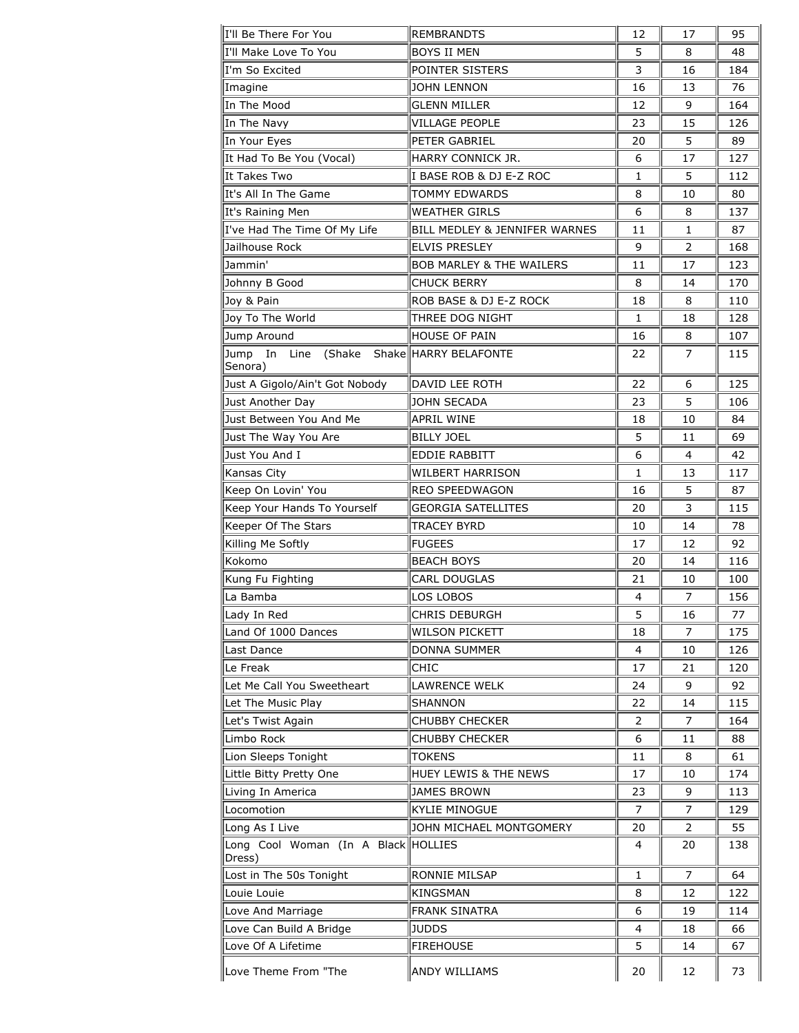| I'll Be There For You               | <b>REMBRANDTS</b>                   | 12 | 17             | 95  |
|-------------------------------------|-------------------------------------|----|----------------|-----|
| II'll Make Love To You              | <b>BOYS II MEN</b>                  | 5  | 8              | 48  |
| ∥I'm So Excited                     | POINTER SISTERS                     | 3  | 16             | 184 |
| Imagine                             | <b>JOHN LENNON</b>                  | 16 | 13             | 76  |
| In The Mood                         | <b>GLENN MILLER</b>                 | 12 | 9              | 164 |
| In The Navy                         | VILLAGE PEOPLE                      | 23 | 15             | 126 |
| In Your Eyes                        | PETER GABRIEL                       | 20 | 5              | 89  |
| It Had To Be You (Vocal)            | HARRY CONNICK JR.                   | 6  | 17             | 127 |
| lIt Takes Two                       | I BASE ROB & DJ E-Z ROC             | 1  | 5              | 112 |
| It's All In The Game                | TOMMY EDWARDS                       | 8  | 10             | 80  |
| It's Raining Men                    | <b>WEATHER GIRLS</b>                | 6  | 8              | 137 |
| I've Had The Time Of My Life        | BILL MEDLEY & JENNIFER WARNES       | 11 | 1              | 87  |
| Jailhouse Rock                      | <b>ELVIS PRESLEY</b>                | 9  | 2              | 168 |
| Jammin'                             | <b>BOB MARLEY &amp; THE WAILERS</b> | 11 | 17             | 123 |
| Johnny B Good                       | <b>CHUCK BERRY</b>                  | 8  | 14             | 170 |
| Joy & Pain                          | ROB BASE & DJ E-Z ROCK              | 18 | 8              | 110 |
| Joy To The World                    | THREE DOG NIGHT                     | 1  | 18             | 128 |
| Jump Around                         | HOUSE OF PAIN                       | 16 | 8              | 107 |
| Jump In Line                        | (Shake Shake HARRY BELAFONTE        | 22 | $\overline{7}$ | 115 |
| Senora)                             |                                     |    |                |     |
| Just A Gigolo/Ain't Got Nobody      | DAVID LEE ROTH                      | 22 | 6              | 125 |
| Just Another Day                    | <b>JOHN SECADA</b>                  | 23 | 5              | 106 |
| Just Between You And Me             | APRIL WINE                          | 18 | 10             | 84  |
| Just The Way You Are                | <b>BILLY JOEL</b>                   | 5  | 11             | 69  |
| Just You And I                      | <b>EDDIE RABBITT</b>                | 6  | 4              | 42  |
| Kansas City                         | <b>WILBERT HARRISON</b>             | 1  | 13             | 117 |
| Keep On Lovin' You                  | REO SPEEDWAGON                      | 16 | 5              | 87  |
| Keep Your Hands To Yourself         | <b>GEORGIA SATELLITES</b>           | 20 | 3              | 115 |
| Keeper Of The Stars                 | <b>TRACEY BYRD</b>                  | 10 | 14             | 78  |
| Killing Me Softly                   | <b>FUGEES</b>                       | 17 | 12             | 92  |
| Kokomo                              | <b>BEACH BOYS</b>                   | 20 | 14             | 116 |
| Kung Fu Fighting                    | <b>CARL DOUGLAS</b>                 | 21 | 10             | 100 |
| La Bamba                            | LOS LOBOS                           | 4  | $\overline{7}$ | 156 |
| Lady In Red                         | CHRIS DEBURGH                       | 5  | 16             | 77  |
| Land Of 1000 Dances                 | <b>WILSON PICKETT</b>               | 18 | 7              | 175 |
| Last Dance                          | <b>DONNA SUMMER</b>                 | 4  | 10             | 126 |
| Le Freak                            | <b>CHIC</b>                         | 17 | 21             | 120 |
| Let Me Call You Sweetheart          | LAWRENCE WELK                       | 24 | 9              | 92  |
| Let The Music Play                  | <b>SHANNON</b>                      | 22 | 14             | 115 |
| Let's Twist Again                   | <b>CHUBBY CHECKER</b>               | 2  | 7              | 164 |
| Limbo Rock                          | <b>CHUBBY CHECKER</b>               | 6  | 11             | 88  |
| Lion Sleeps Tonight                 | <b>TOKENS</b>                       | 11 | 8              | 61  |
| Little Bitty Pretty One             | <b>HUEY LEWIS &amp; THE NEWS</b>    | 17 | 10             | 174 |
| Living In America                   | <b>JAMES BROWN</b>                  | 23 | 9              | 113 |
| Locomotion                          | <b>KYLIE MINOGUE</b>                | 7  | 7              | 129 |
| Long As I Live                      | JOHN MICHAEL MONTGOMERY             | 20 | 2              | 55  |
| Long Cool Woman (In A Black HOLLIES |                                     | 4  | 20             | 138 |
| Dress)<br>Lost in The 50s Tonight   | RONNIE MILSAP                       | 1  | 7              | 64  |
| Louie Louie                         | KINGSMAN                            | 8  | 12             | 122 |
| Love And Marriage                   | <b>FRANK SINATRA</b>                | 6  | 19             | 114 |
| Love Can Build A Bridge             | <b>JUDDS</b>                        | 4  | 18             | 66  |
| Love Of A Lifetime                  | <b>FIREHOUSE</b>                    | 5  | 14             | 67  |
|                                     |                                     |    |                |     |
| Love Theme From "The                | ANDY WILLIAMS                       | 20 | 12             | 73  |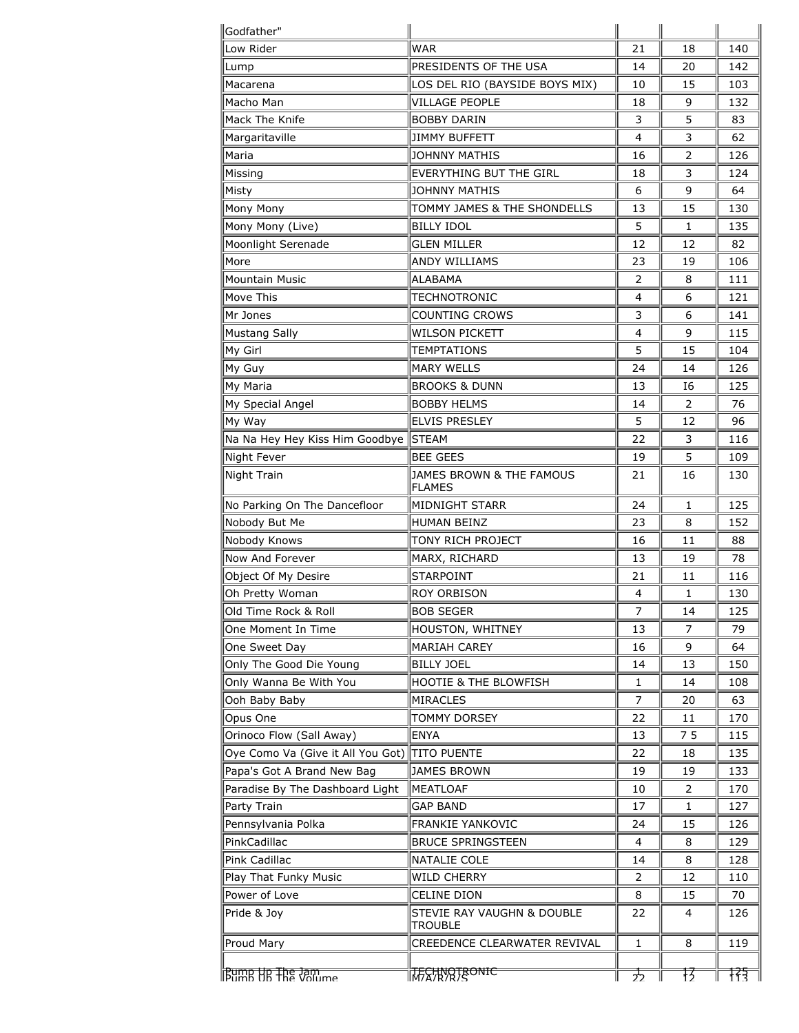| llGodfather"                      |                                       |                |              |     |
|-----------------------------------|---------------------------------------|----------------|--------------|-----|
| Low Rider                         | WAR                                   | 21             | 18           | 140 |
| Lump                              | PRESIDENTS OF THE USA                 | 14             | 20           | 142 |
| Macarena                          | LOS DEL RIO (BAYSIDE BOYS MIX)        | 10             | 15           | 103 |
| Macho Man                         | <b>VILLAGE PEOPLE</b>                 | 18             | 9            | 132 |
| Mack The Knife                    | <b>BOBBY DARIN</b>                    | 3              | 5            | 83  |
| Margaritaville                    | <b>JIMMY BUFFETT</b>                  | 4              | 3            | 62  |
| Maria                             | JOHNNY MATHIS                         | 16             | 2            | 126 |
| Missing                           | <b>EVERYTHING BUT THE GIRL</b>        | 18             | 3            | 124 |
| Misty                             | <b>JOHNNY MATHIS</b>                  | 6              | 9            | 64  |
| Mony Mony                         | TOMMY JAMES & THE SHONDELLS           | 13             | 15           | 130 |
| Mony Mony (Live)                  | <b>BILLY IDOL</b>                     | 5              | 1            | 135 |
| Moonlight Serenade                | <b>GLEN MILLER</b>                    | 12             | 12           | 82  |
| More                              | <b>ANDY WILLIAMS</b>                  | 23             | 19           | 106 |
| <b>Mountain Music</b>             | <b>ALABAMA</b>                        | $\overline{2}$ | 8            | 111 |
| Move This                         | <b>TECHNOTRONIC</b>                   | 4              | 6            | 121 |
| Mr Jones                          | COUNTING CROWS                        | 3              | 6            | 141 |
| <b>Mustang Sally</b>              | Wilson Pickett                        | 4              | 9            | 115 |
| My Girl                           | <b>TEMPTATIONS</b>                    | 5              | 15           | 104 |
| My Guy                            | <b>MARY WELLS</b>                     | 24             | 14           | 126 |
| My Maria                          | <b>BROOKS &amp; DUNN</b>              | 13             | Ι6           | 125 |
| My Special Angel                  | <b>BOBBY HELMS</b>                    | 14             | 2            | 76  |
| My Way                            | <b>ELVIS PRESLEY</b>                  | 5              | 12           | 96  |
| Na Na Hey Hey Kiss Him Goodbye    | <b>STEAM</b>                          | 22             | 3            | 116 |
| Night Fever                       | <b>BEE GEES</b>                       | 19             | 5            | 109 |
| Night Train                       | JAMES BROWN & THE FAMOUS              | 21             | 16           | 130 |
|                                   | <b>FLAMES</b>                         |                |              |     |
| No Parking On The Dancefloor      | <b>MIDNIGHT STARR</b>                 | 24             | 1            | 125 |
| Nobody But Me                     | HUMAN BEINZ                           | 23             | 8            | 152 |
| Nobody Knows                      | TONY RICH PROJECT                     | 16             | 11           | 88  |
| Now And Forever                   | MARX, RICHARD                         | 13             | 19           | 78  |
| Object Of My Desire               | <b>STARPOINT</b>                      | 21             | 11           | 116 |
| Oh Pretty Woman                   | <b>ROY ORBISON</b>                    | 4              | $\mathbf{1}$ | 130 |
| Old Time Rock & Roll              | BOB SEGER                             | 7              | 14           | 125 |
| One Moment In Time                | HOUSTON, WHITNEY                      | 13             | 7            | 79  |
| One Sweet Day                     | <b>MARIAH CAREY</b>                   | 16             | 9            | 64  |
| Only The Good Die Young           | <b>BILLY JOEL</b>                     | 14             | 13           | 150 |
| Only Wanna Be With You            | HOOTIE & THE BLOWFISH                 | 1              | 14           | 108 |
| Ooh Baby Baby                     | MIRACLES                              | 7              | 20           | 63  |
| Opus One                          | <b>TOMMY DORSEY</b>                   | 22             | 11           | 170 |
| Orinoco Flow (Sall Away)          | <b>ENYA</b>                           | 13             | 75           | 115 |
| Oye Como Va (Give it All You Got) | <b>TITO PUENTE</b>                    | 22             | 18           | 135 |
| Papa's Got A Brand New Bag        | JAMES BROWN                           | 19             | 19           | 133 |
| Paradise By The Dashboard Light   | MEATLOAF                              | 10             | 2            | 170 |
| Party Train                       | GAP BAND                              | 17             | 1            | 127 |
| Pennsylvania Polka                | FRANKIE YANKOVIC                      | 24             | 15           | 126 |
| PinkCadillac                      | <b>BRUCE SPRINGSTEEN</b>              | 4              | 8            | 129 |
| Pink Cadillac                     | NATALIE COLE                          | 14             | 8            | 128 |
| Play That Funky Music             | <b>WILD CHERRY</b>                    | 2              | 12           | 110 |
| Power of Love                     | CELINE DION                           | 8              | 15           | 70  |
| Pride & Joy                       | STEVIE RAY VAUGHN & DOUBLE<br>TROUBLE | 22             | 4            | 126 |
| Proud Mary                        | CREEDENCE CLEARWATER REVIVAL          | $\mathbf{1}$   | 8            | 119 |
|                                   |                                       |                |              |     |
| <b>BUTHE HR THE JAMING</b>        | ᡪᡯᠷᠷᡀᠷᢓᡏᡛᡋᢦᡆᡄ                         | 万              | 技            | सिर |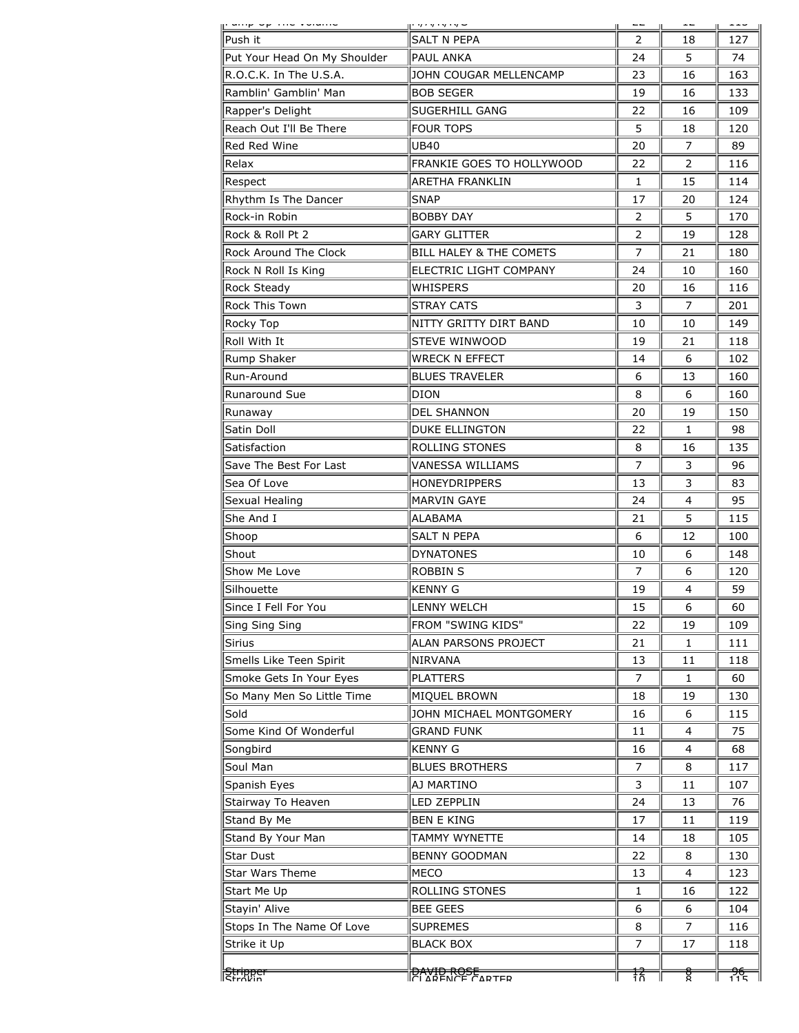| <u> en grup se construcción qu</u> |                                    |                |                |      |
|------------------------------------|------------------------------------|----------------|----------------|------|
| Push it                            | <b>SALT N PEPA</b>                 | $\mathcal{P}$  | 18             | 127  |
| Put Your Head On My Shoulder       | <b>PAUL ANKA</b>                   | 24             | 5              | 74   |
| R.O.C.K. In The U.S.A.             | JOHN COUGAR MELLENCAMP             | 23             | 16             | 163  |
| Ramblin' Gamblin' Man              | <b>BOB SEGER</b>                   | 19             | 16             | 133  |
| Rapper's Delight                   | <b>SUGERHILL GANG</b>              | 22             | 16             | 109  |
| Reach Out I'll Be There            | <b>FOUR TOPS</b>                   | 5              | 18             | 120  |
| Red Red Wine                       | <b>UB40</b>                        | 20             | 7              | 89   |
| Relax                              | FRANKIE GOES TO HOLLYWOOD          | 22             | $\overline{2}$ | 116  |
| Respect                            | <b>ARETHA FRANKLIN</b>             | $\mathbf{1}$   | 15             | 114  |
| Rhythm Is The Dancer               | <b>SNAP</b>                        | 17             | 20             | 124  |
| Rock-in Robin                      | <b>BOBBY DAY</b>                   | 2              | 5              | 170  |
| Rock & Roll Pt 2                   | <b>GARY GLITTER</b>                | 2              | 19             | 128  |
| Rock Around The Clock              | <b>BILL HALEY &amp; THE COMETS</b> | 7              | 21             | 180  |
| Rock N Roll Is King                | ELECTRIC LIGHT COMPANY             | 24             | 10             | 160  |
| Rock Steady                        | <b>WHISPERS</b>                    | 20             | 16             | 116  |
| Rock This Town                     | <b>STRAY CATS</b>                  | 3              | $\overline{7}$ | 201  |
| Rocky Top                          | NITTY GRITTY DIRT BAND             | 10             | 10             | 149  |
| Roll With It                       | STEVE WINWOOD                      | 19             | 21             | 118  |
| Rump Shaker                        | <b>WRECK N EFFECT</b>              | 14             | 6              | 102  |
| Run-Around                         | <b>BLUES TRAVELER</b>              | 6              | 13             | 160  |
| <b>Runaround Sue</b>               | <b>DION</b>                        | 8              | 6              | 160  |
| Runaway                            | <b>DEL SHANNON</b>                 | 20             | 19             | 150  |
| Satin Doll                         | <b>DUKE ELLINGTON</b>              | 22             | $\mathbf{1}$   | 98   |
| Satisfaction                       | <b>ROLLING STONES</b>              | 8              | 16             | 135  |
| Save The Best For Last             | VANESSA WILLIAMS                   | 7              | 3              | 96   |
| Sea Of Love                        | <b>HONEYDRIPPERS</b>               | 13             | 3              | 83   |
| Sexual Healing                     | MARVIN GAYE                        | 24             | 4              | 95   |
| She And I                          | ALABAMA                            | 21             | 5              | 115  |
| Shoop                              | <b>SALT N PEPA</b>                 | 6              | 12             | 100  |
| Shout                              | <b>DYNATONES</b>                   | 10             | 6              | 148  |
| Show Me Love                       | <b>ROBBIN S</b>                    | $\overline{7}$ | 6              | 120  |
| Silhouette                         | <b>KENNY G</b>                     | 19             | 4              | 59   |
| Since I Fell For You               | LENNY WELCH                        | 15             | 6              | 60   |
| Sing Sing Sing                     | FROM "SWING KIDS"                  | 22             | 19             | 109  |
| <b>Sirius</b>                      | ALAN PARSONS PROJECT               | 21             | $\mathbf{1}$   | 111  |
| Smells Like Teen Spirit            | <b>NIRVANA</b>                     | 13             | 11             | 118  |
| Smoke Gets In Your Eyes            | <b>PLATTERS</b>                    | 7              | 1              | 60   |
| So Many Men So Little Time         | MIQUEL BROWN                       | 18             | 19             | 130  |
| Sold                               | JOHN MICHAEL MONTGOMERY            | 16             | 6              | 115  |
| Some Kind Of Wonderful             | <b>GRAND FUNK</b>                  | 11             | 4              | 75   |
| Songbird                           | <b>KENNY G</b>                     | 16             | 4              | 68   |
| Soul Man                           | <b>BLUES BROTHERS</b>              | 7              | 8              | 117  |
| Spanish Eyes                       | AJ MARTINO                         | 3              | 11             | 107  |
| Stairway To Heaven                 | LED ZEPPLIN                        | 24             | 13             | 76   |
| Stand By Me                        | <b>BEN E KING</b>                  | 17             | 11             | 119  |
| Stand By Your Man                  | TAMMY WYNETTE                      | 14             | 18             | 105  |
| Star Dust                          | <b>BENNY GOODMAN</b>               | 22             | 8              | 130  |
| Star Wars Theme                    | <b>MECO</b>                        | 13             | 4              | 123  |
| Start Me Up                        | ROLLING STONES                     | 1              | 16             | 122  |
| Stayin' Alive                      | <b>BEE GEES</b>                    | 6              | 6              | 104  |
| Stops In The Name Of Love          | <b>SUPREMES</b>                    | 8              | 7              | 116  |
| Strike it Up                       | <b>BLACK BOX</b>                   | 7              | 17             | 118  |
|                                    |                                    |                |                |      |
| <u> ਵਿਸ਼ਿਸ਼ਿਸਟੀ</u>                | <b>PAYID ROSE</b>                  | 葀              | ਲ੍ਹੇ           | र्नह |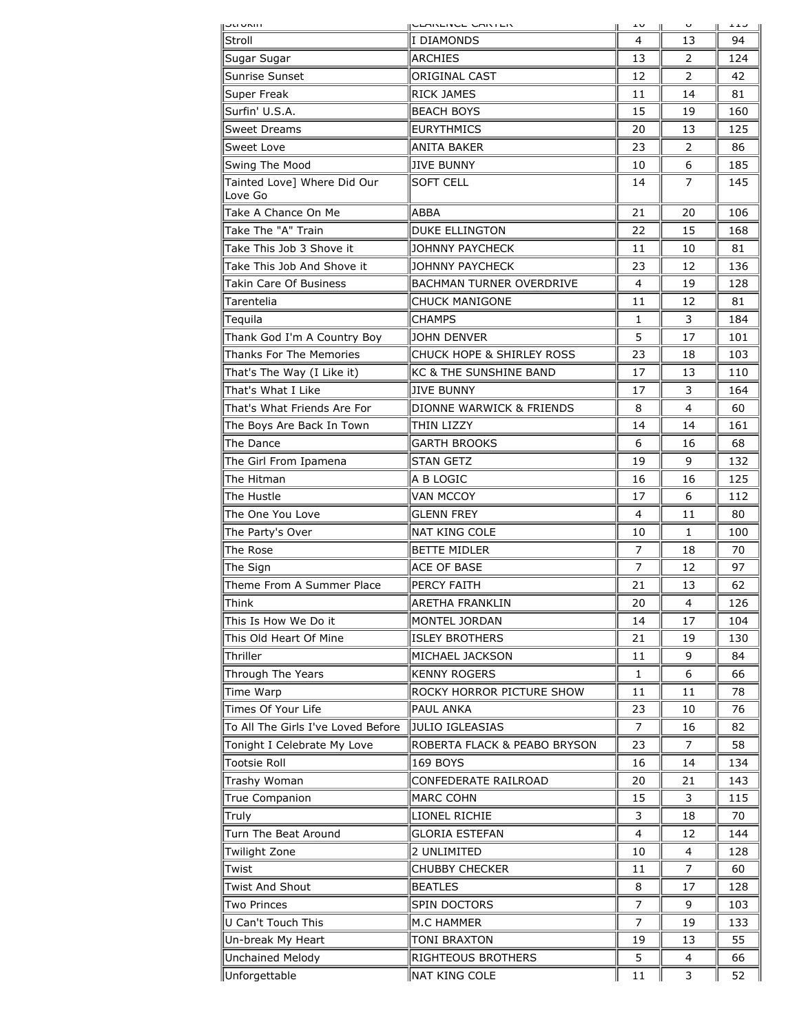| <b>PUPAL</b>                           | <b>PURINEIRUE UNIVIER</b>            | ∸∨ |                | ᆂᆂ  |
|----------------------------------------|--------------------------------------|----|----------------|-----|
| Stroll                                 | I DIAMONDS                           | 4  | 13             | 94  |
| Sugar Sugar                            | <b>ARCHIES</b>                       | 13 | 2              | 124 |
| Sunrise Sunset                         | ORIGINAL CAST                        | 12 | 2              | 42  |
| Super Freak                            | <b>RICK JAMES</b>                    | 11 | 14             | 81  |
| Surfin' U.S.A.                         | <b>BEACH BOYS</b>                    | 15 | 19             | 160 |
| Sweet Dreams                           | <b>EURYTHMICS</b>                    | 20 | 13             | 125 |
| Sweet Love                             | ANITA BAKER                          | 23 | 2              | 86  |
| Swing The Mood                         | <b>JIVE BUNNY</b>                    | 10 | 6              | 185 |
| Tainted Love] Where Did Our<br>Love Go | <b>SOFT CELL</b>                     | 14 | 7              | 145 |
| Take A Chance On Me                    | ABBA                                 | 21 | 20             | 106 |
| Take The "A" Train                     | <b>DUKE ELLINGTON</b>                | 22 | 15             | 168 |
| Take This Job 3 Shove it               | <b>JOHNNY PAYCHECK</b>               | 11 | 10             | 81  |
| Take This Job And Shove it             | JOHNNY PAYCHECK                      | 23 | 12             | 136 |
| <b>Takin Care Of Business</b>          | <b>BACHMAN TURNER OVERDRIVE</b>      | 4  | 19             | 128 |
| Tarentelia                             | <b>CHUCK MANIGONE</b>                | 11 | 12             | 81  |
| Tequila                                | CHAMPS                               | 1  | 3              | 184 |
| Thank God I'm A Country Boy            | <b>JOHN DENVER</b>                   | 5  | 17             | 101 |
| Thanks For The Memories                | <b>CHUCK HOPE &amp; SHIRLEY ROSS</b> | 23 | 18             | 103 |
| That's The Way (I Like it)             | <b>KC &amp; THE SUNSHINE BAND</b>    | 17 | 13             | 110 |
| That's What I Like                     | <b>JIVE BUNNY</b>                    | 17 | 3              | 164 |
| That's What Friends Are For            | DIONNE WARWICK & FRIENDS             | 8  | 4              | 60  |
| The Boys Are Back In Town              | <b>THIN LIZZY</b>                    | 14 | 14             | 161 |
| The Dance                              | <b>GARTH BROOKS</b>                  | 6  | 16             | 68  |
| The Girl From Ipamena                  | <b>STAN GETZ</b>                     | 19 | 9              | 132 |
| The Hitman                             | A B LOGIC                            | 16 | 16             | 125 |
| The Hustle                             | <b>VAN MCCOY</b>                     | 17 | 6              | 112 |
| The One You Love                       | <b>GLENN FREY</b>                    | 4  | 11             | 80  |
| The Party's Over                       | <b>NAT KING COLE</b>                 | 10 | 1              | 100 |
| The Rose                               | <b>BETTE MIDLER</b>                  | 7  | 18             | 70  |
| The Sign                               | <b>ACE OF BASE</b>                   | 7  | 12             | 97  |
| Theme From A Summer Place              | PERCY FAITH                          | 21 | 13             | 62  |
| Think                                  | ARETHA FRANKLIN                      | 20 | 4              | 126 |
| This Is How We Do it                   | MONTEL JORDAN                        | 14 | 17             | 104 |
|                                        |                                      |    |                |     |
| This Old Heart Of Mine                 | <b>ISLEY BROTHERS</b>                | 21 | 19             | 130 |
| Thriller                               | MICHAEL JACKSON                      | 11 | 9              | 84  |
| Through The Years                      | <b>KENNY ROGERS</b>                  | 1  | 6              | 66  |
| Time Warp                              | ROCKY HORROR PICTURE SHOW            | 11 | 11             | 78  |
| Times Of Your Life                     | PAUL ANKA                            | 23 | 10             | 76  |
| To All The Girls I've Loved Before     | JULIO IGLEASIAS                      | 7  | 16             | 82  |
| Tonight I Celebrate My Love            | ROBERTA FLACK & PEABO BRYSON         | 23 | $\overline{7}$ | 58  |
| <b>Tootsie Roll</b>                    | <b>169 BOYS</b>                      | 16 | 14             | 134 |
| Trashy Woman                           | CONFEDERATE RAILROAD                 | 20 | 21             | 143 |
| True Companion                         | <b>MARC COHN</b>                     | 15 | 3              | 115 |
| Truly                                  | LIONEL RICHIE                        | 3  | 18             | 70  |
| Turn The Beat Around                   | <b>GLORIA ESTEFAN</b>                | 4  | 12             | 144 |
| Twilight Zone                          | 2 UNLIMITED                          | 10 | 4              | 128 |
| Twist                                  | <b>CHUBBY CHECKER</b>                | 11 | 7              | 60  |
| <b>Twist And Shout</b>                 | <b>BEATLES</b>                       | 8  | 17             | 128 |
| Two Princes                            | SPIN DOCTORS                         | 7  | 9              | 103 |
| U Can't Touch This                     | M.C HAMMER                           | 7  | 19             | 133 |
| Un-break My Heart                      | <b>TONI BRAXTON</b>                  | 19 | 13             | 55  |
| Unchained Melody                       | RIGHTEOUS BROTHERS                   | 5  | 4              | 66  |
| Unforgettable                          | NAT KING COLE                        | 11 | 3              | 52  |